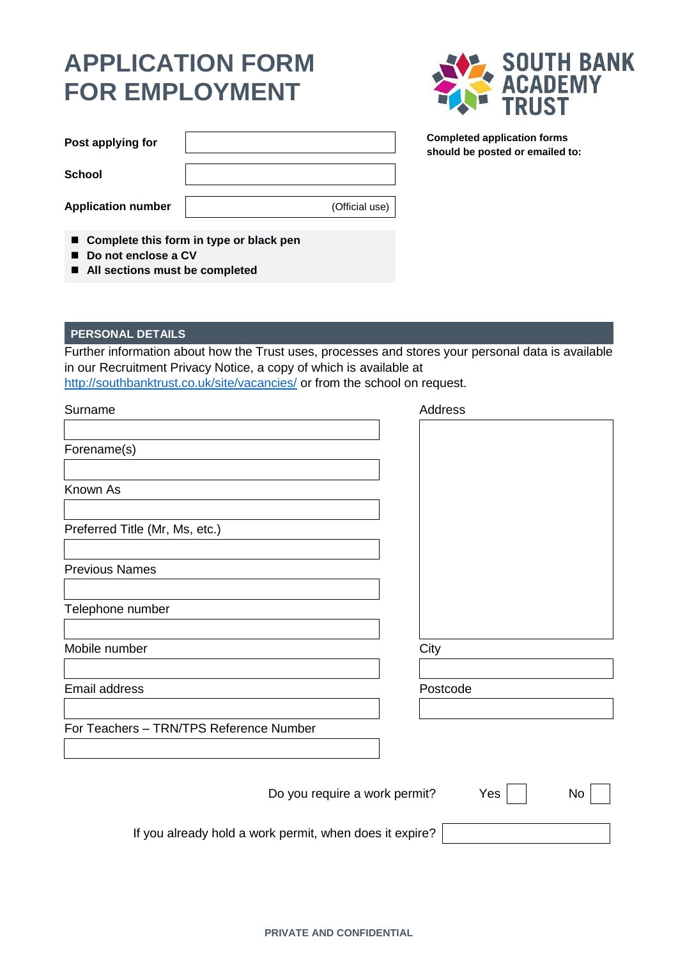## **APPLICATION FORM FOR EMPLOYMENT**



**Completed application forms should be posted or emailed to:**

| Post applying for         |                |
|---------------------------|----------------|
| School                    |                |
| <b>Application number</b> | (Official use) |

**Complete this form in type or black pen**

- Do not enclose a CV
- **All sections must be completed**

## **PERSONAL DETAILS**

Further information about how the Trust uses, processes and stores your personal data is available in our Recruitment Privacy Notice, a copy of which is available at <http://southbanktrust.co.uk/site/vacancies/> or from the school on request.

| Surname                                                 | Address   |
|---------------------------------------------------------|-----------|
|                                                         |           |
| Forename(s)                                             |           |
| Known As                                                |           |
| Preferred Title (Mr, Ms, etc.)                          |           |
| <b>Previous Names</b>                                   |           |
| Telephone number                                        |           |
| Mobile number                                           | City      |
| Email address                                           | Postcode  |
| For Teachers - TRN/TPS Reference Number                 |           |
|                                                         |           |
| Do you require a work permit?                           | No<br>Yes |
| If you already hold a work permit, when does it expire? |           |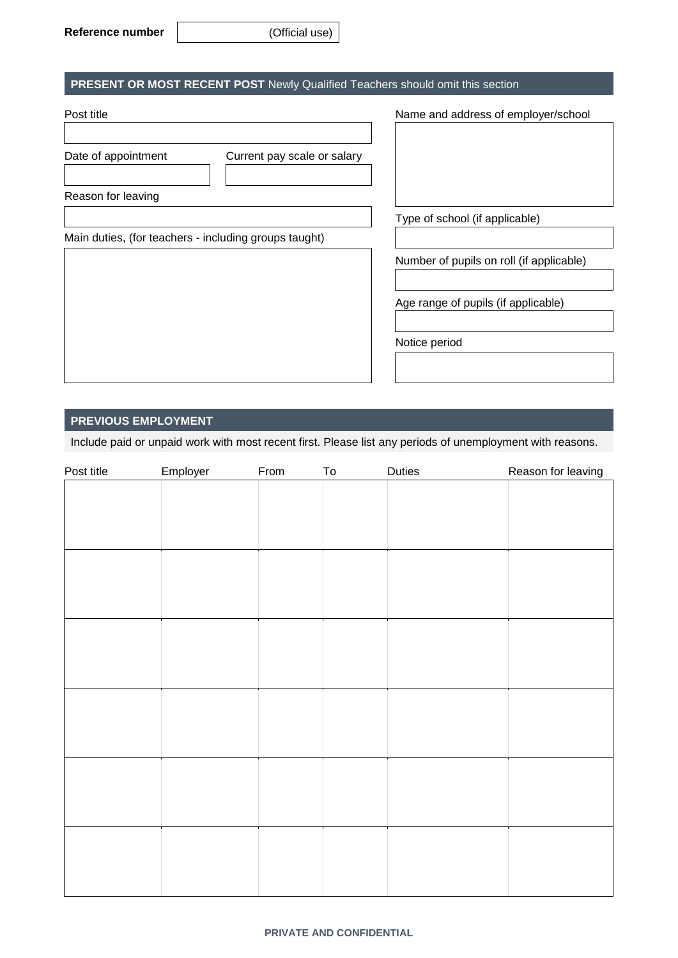## **PRESENT OR MOST RECENT POST** Newly Qualified Teachers should omit this section

| Post title                                            | Name and address of employer/school      |
|-------------------------------------------------------|------------------------------------------|
| Date of appointment<br>Current pay scale or salary    |                                          |
| Reason for leaving                                    |                                          |
|                                                       | Type of school (if applicable)           |
| Main duties, (for teachers - including groups taught) |                                          |
|                                                       | Number of pupils on roll (if applicable) |
|                                                       |                                          |
|                                                       | Age range of pupils (if applicable)      |
|                                                       |                                          |
|                                                       | Notice period                            |
|                                                       |                                          |

### **PREVIOUS EMPLOYMENT**

Include paid or unpaid work with most recent first. Please list any periods of unemployment with reasons.

| Post title | Employer | From | To | Duties | Reason for leaving |
|------------|----------|------|----|--------|--------------------|
|            |          |      |    |        |                    |
|            |          |      |    |        |                    |
|            |          |      |    |        |                    |
|            |          |      |    |        |                    |
|            |          |      |    |        |                    |
|            |          |      |    |        |                    |
|            |          |      |    |        |                    |
|            |          |      |    |        |                    |
|            |          |      |    |        |                    |
|            |          |      |    |        |                    |
|            |          |      |    |        |                    |
|            |          |      |    |        |                    |
|            |          |      |    |        |                    |
|            |          |      |    |        |                    |
|            |          |      |    |        |                    |
|            |          |      |    |        |                    |
|            |          |      |    |        |                    |
|            |          |      |    |        |                    |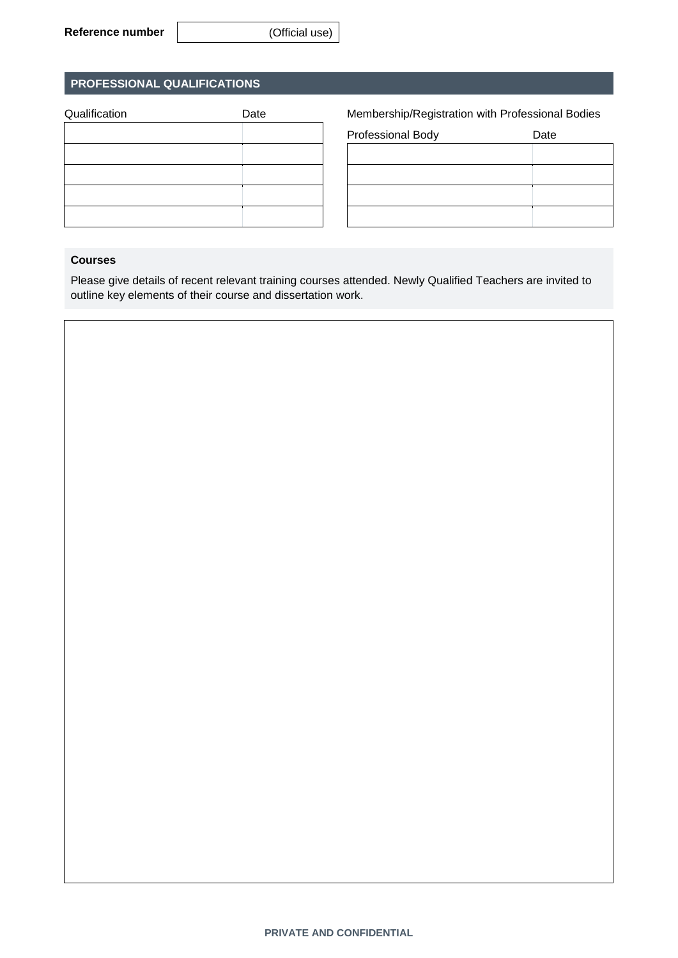## **PROFESSIONAL QUALIFICATIONS**

| Qualification | Date |
|---------------|------|
|               |      |
|               |      |
|               |      |
|               |      |
|               |      |

Membership/Registration with Professional Bodies

| Professional Body | Date |
|-------------------|------|
|                   |      |
|                   |      |
|                   |      |
|                   |      |

#### **Courses**

Please give details of recent relevant training courses attended. Newly Qualified Teachers are invited to outline key elements of their course and dissertation work.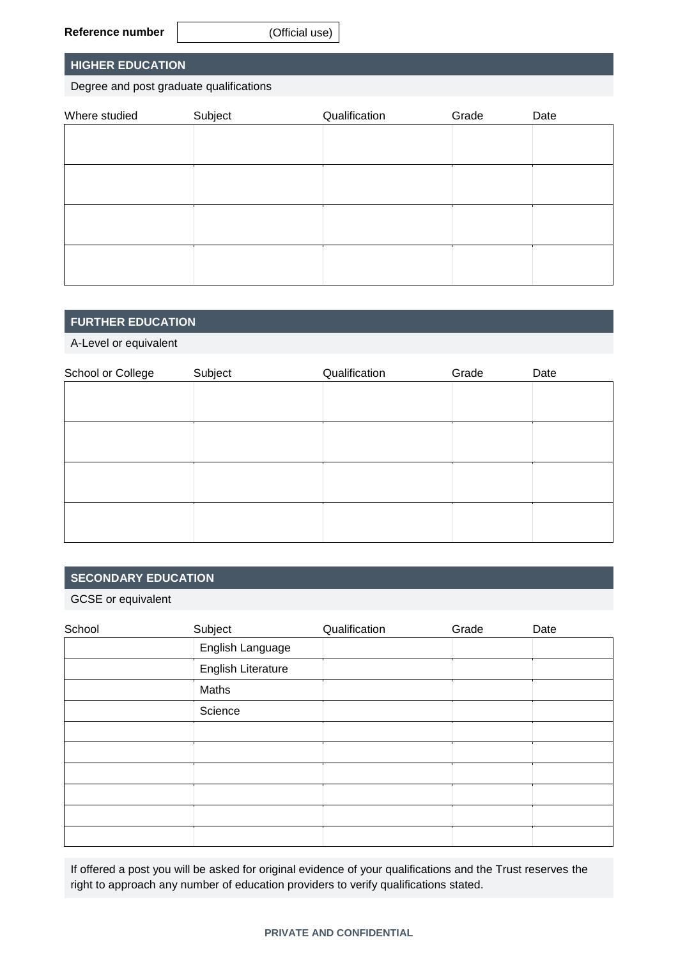#### **Reference number** (Official use)

#### **HIGHER EDUCATION**

Degree and post graduate qualifications

| Where studied | Subject | Qualification | Grade | Date |
|---------------|---------|---------------|-------|------|
|               |         |               |       |      |
|               |         |               |       |      |
|               |         |               |       |      |
|               |         |               |       |      |
|               |         |               |       |      |
|               |         |               |       |      |
|               |         |               |       |      |
|               |         |               |       |      |
|               |         |               |       |      |
|               |         |               |       |      |

#### **FURTHER EDUCATION**

A-Level or equivalent

| School or College | Subject | Qualification | Grade | Date |
|-------------------|---------|---------------|-------|------|
|                   |         |               |       |      |
|                   |         |               |       |      |
|                   |         |               |       |      |
|                   |         |               |       |      |
|                   |         |               |       |      |
|                   |         |               |       |      |
|                   |         |               |       |      |
|                   |         |               |       |      |

#### **SECONDARY EDUCATION**

GCSE or equivalent

| School | Subject            | Qualification | Grade | Date |
|--------|--------------------|---------------|-------|------|
|        | English Language   |               |       |      |
|        | English Literature |               |       |      |
|        | Maths              |               |       |      |
|        | Science            |               |       |      |
|        |                    |               |       |      |
|        |                    |               |       |      |
|        |                    |               |       |      |
|        |                    |               |       |      |
|        |                    |               |       |      |
|        |                    |               |       |      |

If offered a post you will be asked for original evidence of your qualifications and the Trust reserves the right to approach any number of education providers to verify qualifications stated.

#### **PRIVATE AND CONFIDENTIAL**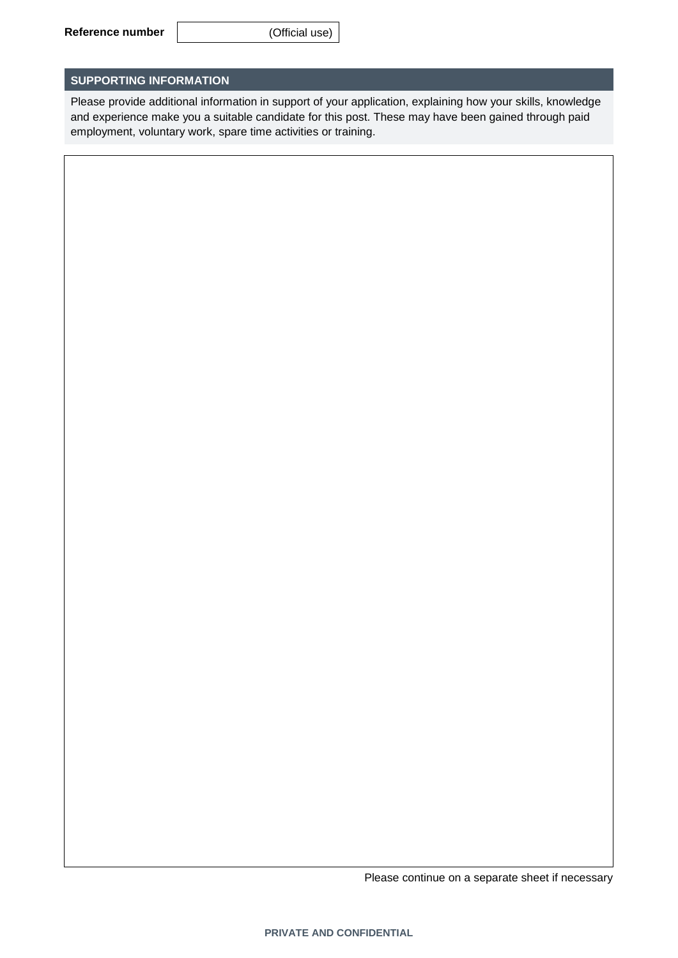#### **SUPPORTING INFORMATION**

Please provide additional information in support of your application, explaining how your skills, knowledge and experience make you a suitable candidate for this post. These may have been gained through paid employment, voluntary work, spare time activities or training.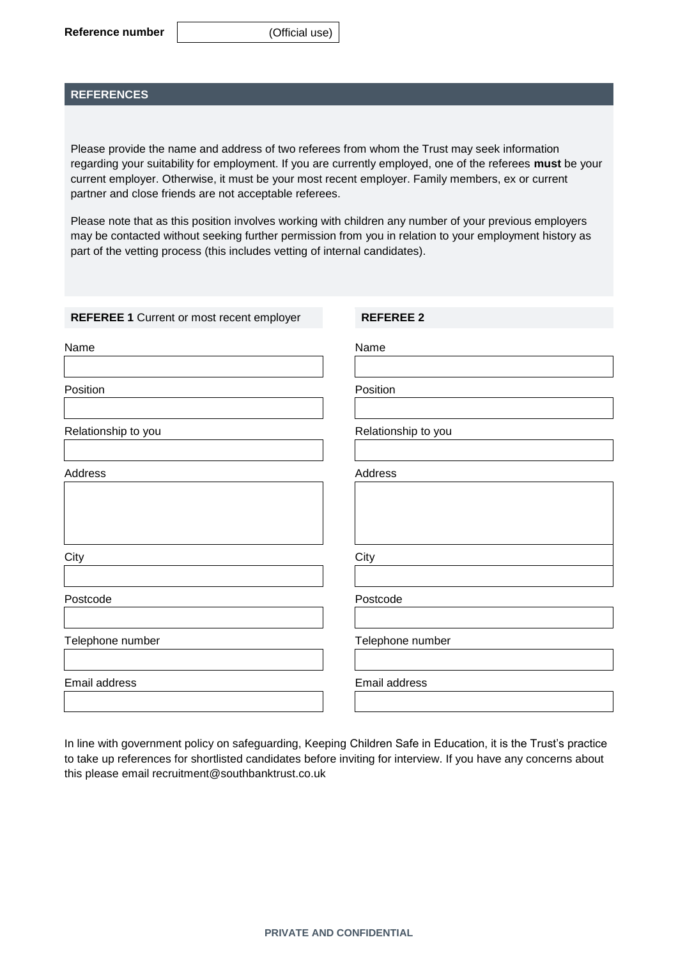#### **REFERENCES**

Please provide the name and address of two referees from whom the Trust may seek information regarding your suitability for employment. If you are currently employed, one of the referees **must** be your current employer. Otherwise, it must be your most recent employer. Family members, ex or current partner and close friends are not acceptable referees.

Please note that as this position involves working with children any number of your previous employers may be contacted without seeking further permission from you in relation to your employment history as part of the vetting process (this includes vetting of internal candidates).

| <b>REFEREE 1 Current or most recent employer</b> | <b>REFEREE 2</b>    |
|--------------------------------------------------|---------------------|
| Name                                             | Name                |
| Position                                         | Position            |
| Relationship to you                              | Relationship to you |
| Address                                          | Address             |
| City                                             | City                |
| Postcode                                         | Postcode            |
| Telephone number                                 | Telephone number    |
| Email address                                    | Email address       |

In line with government policy on safeguarding, Keeping Children Safe in Education, it is the Trust's practice to take up references for shortlisted candidates before inviting for interview. If you have any concerns about this please email recruitment@southbanktrust.co.uk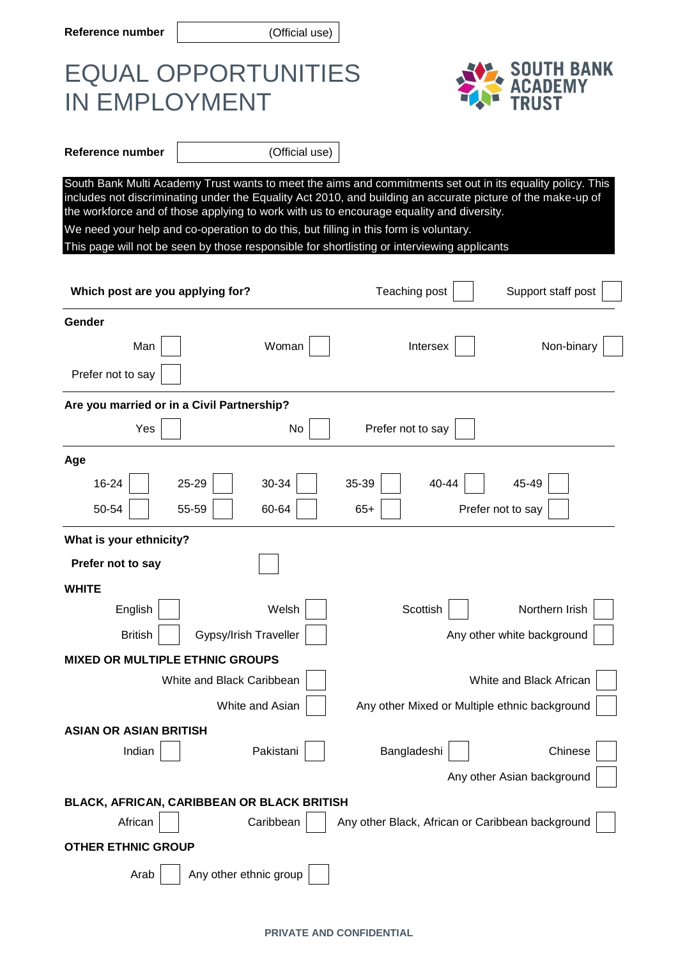**Reference number** (Official use)

# EQUAL OPPORTUNITIES IN EMPLOYMENT



**Reference number**  $|$  (Official use)

South Bank Multi Academy Trust wants to meet the aims and commitments set out in its equality policy. This includes not discriminating under the Equality Act 2010, and building an accurate picture of the make-up of the workforce and of those applying to work with us to encourage equality and diversity. We need your help and co-operation to do this, but filling in this form is voluntary.

This page will not be seen by those responsible for shortlisting or interviewing applicants

| Which post are you applying for?           | Support staff post<br>Teaching post              |
|--------------------------------------------|--------------------------------------------------|
| Gender                                     |                                                  |
| Woman<br>Man                               | Intersex<br>Non-binary                           |
| Prefer not to say                          |                                                  |
| Are you married or in a Civil Partnership? |                                                  |
| Yes<br>No                                  | Prefer not to say                                |
| Age                                        |                                                  |
| 16-24<br>30-34<br>25-29                    | 35-39<br>40-44<br>45-49                          |
| 50-54<br>55-59<br>60-64                    | $65+$<br>Prefer not to say                       |
| What is your ethnicity?                    |                                                  |
| Prefer not to say                          |                                                  |
| <b>WHITE</b>                               |                                                  |
| English<br>Welsh                           | Scottish<br>Northern Irish                       |
| <b>British</b><br>Gypsy/Irish Traveller    | Any other white background                       |
| <b>MIXED OR MULTIPLE ETHNIC GROUPS</b>     |                                                  |
| White and Black Caribbean                  | White and Black African                          |
| White and Asian                            | Any other Mixed or Multiple ethnic background    |
| <b>ASIAN OR ASIAN BRITISH</b>              |                                                  |
| Pakistani<br>Indian                        | Chinese<br>Bangladeshi                           |
|                                            | Any other Asian background                       |
| BLACK, AFRICAN, CARIBBEAN OR BLACK BRITISH |                                                  |
| African<br>Caribbean                       | Any other Black, African or Caribbean background |
| <b>OTHER ETHNIC GROUP</b>                  |                                                  |
| Any other ethnic group<br>Arab             |                                                  |